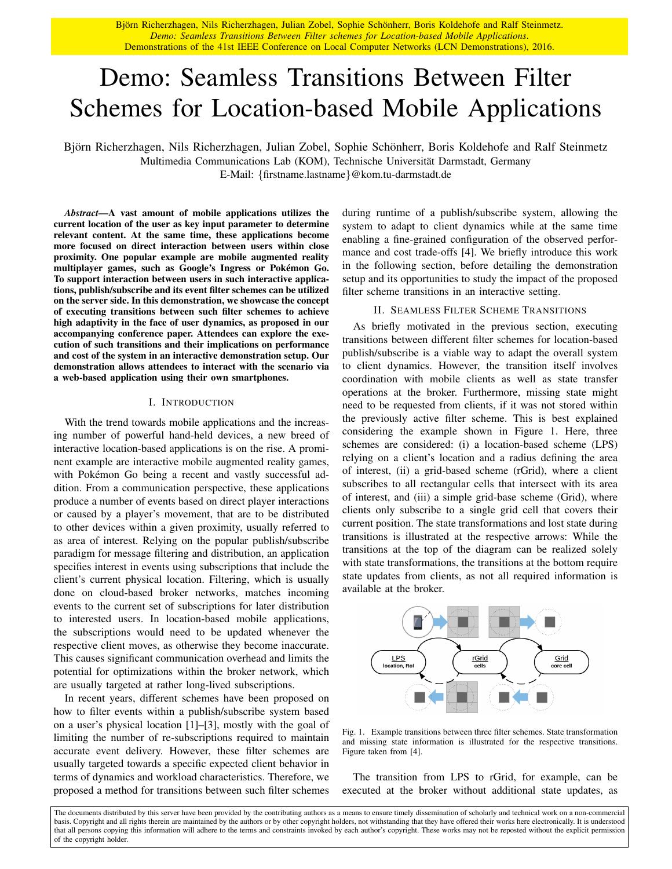Björn Richerzhagen, Nils Richerzhagen, Julian Zobel, Sophie Schönherr, Boris Koldehofe and Ralf Steinmetz. *Demo: Seamless Transitions Between Filter schemes for Location-based Mobile Applications*. Demonstrations of the 41st IEEE Conference on Local Computer Networks (LCN Demonstrations), 2016.

# Demo: Seamless Transitions Between Filter Schemes for Location-based Mobile Applications

Björn Richerzhagen, Nils Richerzhagen, Julian Zobel, Sophie Schönherr, Boris Koldehofe and Ralf Steinmetz Multimedia Communications Lab (KOM), Technische Universität Darmstadt, Germany E-Mail: {firstname.lastname}@kom.tu-darmstadt.de

*Abstract*—A vast amount of mobile applications utilizes the current location of the user as key input parameter to determine relevant content. At the same time, these applications become more focused on direct interaction between users within close proximity. One popular example are mobile augmented reality multiplayer games, such as Google's Ingress or Pokémon Go. To support interaction between users in such interactive applications, publish/subscribe and its event filter schemes can be utilized on the server side. In this demonstration, we showcase the concept of executing transitions between such filter schemes to achieve high adaptivity in the face of user dynamics, as proposed in our accompanying conference paper. Attendees can explore the execution of such transitions and their implications on performance and cost of the system in an interactive demonstration setup. Our demonstration allows attendees to interact with the scenario via a web-based application using their own smartphones.

#### I. INTRODUCTION

With the trend towards mobile applications and the increasing number of powerful hand-held devices, a new breed of interactive location-based applications is on the rise. A prominent example are interactive mobile augmented reality games, with Pokémon Go being a recent and vastly successful addition. From a communication perspective, these applications produce a number of events based on direct player interactions or caused by a player's movement, that are to be distributed to other devices within a given proximity, usually referred to as area of interest. Relying on the popular publish/subscribe paradigm for message filtering and distribution, an application specifies interest in events using subscriptions that include the client's current physical location. Filtering, which is usually done on cloud-based broker networks, matches incoming events to the current set of subscriptions for later distribution to interested users. In location-based mobile applications, the subscriptions would need to be updated whenever the respective client moves, as otherwise they become inaccurate. This causes significant communication overhead and limits the potential for optimizations within the broker network, which are usually targeted at rather long-lived subscriptions.

In recent years, different schemes have been proposed on how to filter events within a publish/subscribe system based on a user's physical location [1]–[3], mostly with the goal of limiting the number of re-subscriptions required to maintain accurate event delivery. However, these filter schemes are usually targeted towards a specific expected client behavior in terms of dynamics and workload characteristics. Therefore, we proposed a method for transitions between such filter schemes during runtime of a publish/subscribe system, allowing the system to adapt to client dynamics while at the same time enabling a fine-grained configuration of the observed performance and cost trade-offs [4]. We briefly introduce this work in the following section, before detailing the demonstration setup and its opportunities to study the impact of the proposed filter scheme transitions in an interactive setting.

# II. SEAMLESS FILTER SCHEME TRANSITIONS

As briefly motivated in the previous section, executing transitions between different filter schemes for location-based publish/subscribe is a viable way to adapt the overall system to client dynamics. However, the transition itself involves coordination with mobile clients as well as state transfer operations at the broker. Furthermore, missing state might need to be requested from clients, if it was not stored within the previously active filter scheme. This is best explained considering the example shown in Figure 1. Here, three schemes are considered: (i) a location-based scheme (LPS) relying on a client's location and a radius defining the area of interest, (ii) a grid-based scheme (rGrid), where a client subscribes to all rectangular cells that intersect with its area of interest, and (iii) a simple grid-base scheme (Grid), where clients only subscribe to a single grid cell that covers their current position. The state transformations and lost state during transitions is illustrated at the respective arrows: While the transitions at the top of the diagram can be realized solely with state transformations, the transitions at the bottom require state updates from clients, as not all required information is available at the broker.



Fig. 1. Example transitions between three filter schemes. State transformation and missing state information is illustrated for the respective transitions. Figure taken from [4].

The transition from LPS to rGrid, for example, can be executed at the broker without additional state updates, as

The documents distributed by this server have been provided by the contributing authors as a means to ensure timely dissemination of scholarly and technical work on a non-commercial basis. Copyright and all rights therein are maintained by the authors or by other copyright holders, not withstanding that they have offered their works here electronically. It is understood that all persons copying this information will adhere to the terms and constraints invoked by each author's copyright. These works may not be reposted without the explicit permission of the copyright holder.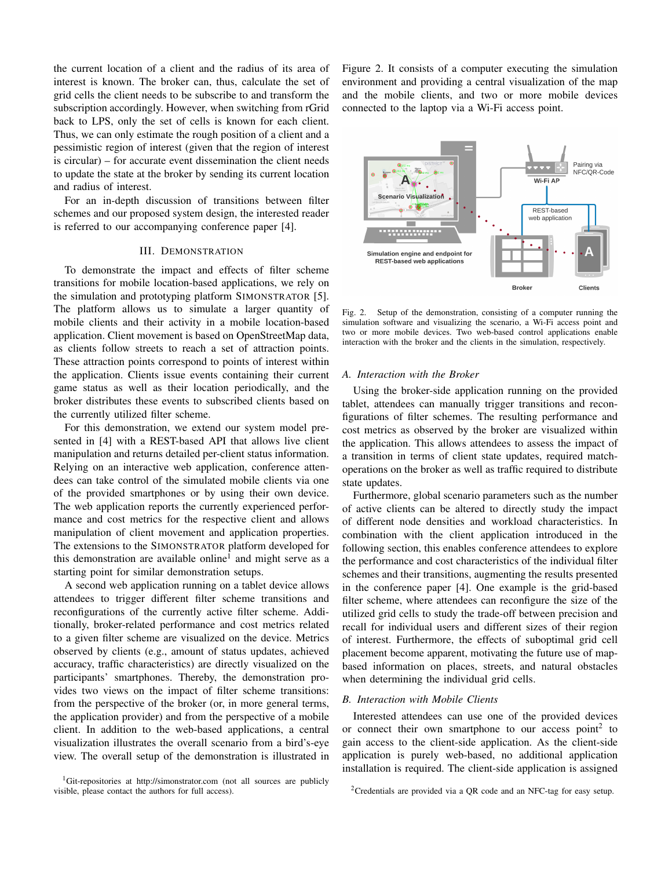the current location of a client and the radius of its area of interest is known. The broker can, thus, calculate the set of grid cells the client needs to be subscribe to and transform the subscription accordingly. However, when switching from rGrid back to LPS, only the set of cells is known for each client. Thus, we can only estimate the rough position of a client and a pessimistic region of interest (given that the region of interest is circular) – for accurate event dissemination the client needs to update the state at the broker by sending its current location and radius of interest.

For an in-depth discussion of transitions between filter schemes and our proposed system design, the interested reader is referred to our accompanying conference paper [4].

# III. DEMONSTRATION

To demonstrate the impact and effects of filter scheme transitions for mobile location-based applications, we rely on the simulation and prototyping platform SIMONSTRATOR [5]. The platform allows us to simulate a larger quantity of mobile clients and their activity in a mobile location-based application. Client movement is based on OpenStreetMap data, as clients follow streets to reach a set of attraction points. These attraction points correspond to points of interest within the application. Clients issue events containing their current game status as well as their location periodically, and the broker distributes these events to subscribed clients based on the currently utilized filter scheme.

For this demonstration, we extend our system model presented in [4] with a REST-based API that allows live client manipulation and returns detailed per-client status information. Relying on an interactive web application, conference attendees can take control of the simulated mobile clients via one of the provided smartphones or by using their own device. The web application reports the currently experienced performance and cost metrics for the respective client and allows manipulation of client movement and application properties. The extensions to the SIMONSTRATOR platform developed for this demonstration are available online<sup>1</sup> and might serve as a starting point for similar demonstration setups.

A second web application running on a tablet device allows attendees to trigger different filter scheme transitions and reconfigurations of the currently active filter scheme. Additionally, broker-related performance and cost metrics related to a given filter scheme are visualized on the device. Metrics observed by clients (e.g., amount of status updates, achieved accuracy, traffic characteristics) are directly visualized on the participants' smartphones. Thereby, the demonstration provides two views on the impact of filter scheme transitions: from the perspective of the broker (or, in more general terms, the application provider) and from the perspective of a mobile client. In addition to the web-based applications, a central visualization illustrates the overall scenario from a bird's-eye view. The overall setup of the demonstration is illustrated in

<sup>1</sup>Git-repositories at http://simonstrator.com (not all sources are publicly visible, please contact the authors for full access).

Figure 2. It consists of a computer executing the simulation environment and providing a central visualization of the map and the mobile clients, and two or more mobile devices connected to the laptop via a Wi-Fi access point.



Fig. 2. Setup of the demonstration, consisting of a computer running the simulation software and visualizing the scenario, a Wi-Fi access point and two or more mobile devices. Two web-based control applications enable interaction with the broker and the clients in the simulation, respectively.

## *A. Interaction with the Broker*

Using the broker-side application running on the provided tablet, attendees can manually trigger transitions and reconfigurations of filter schemes. The resulting performance and cost metrics as observed by the broker are visualized within the application. This allows attendees to assess the impact of a transition in terms of client state updates, required matchoperations on the broker as well as traffic required to distribute state updates.

Furthermore, global scenario parameters such as the number of active clients can be altered to directly study the impact of different node densities and workload characteristics. In combination with the client application introduced in the following section, this enables conference attendees to explore the performance and cost characteristics of the individual filter schemes and their transitions, augmenting the results presented in the conference paper [4]. One example is the grid-based filter scheme, where attendees can reconfigure the size of the utilized grid cells to study the trade-off between precision and recall for individual users and different sizes of their region of interest. Furthermore, the effects of suboptimal grid cell placement become apparent, motivating the future use of mapbased information on places, streets, and natural obstacles when determining the individual grid cells.

# *B. Interaction with Mobile Clients*

Interested attendees can use one of the provided devices or connect their own smartphone to our access point<sup>2</sup> to gain access to the client-side application. As the client-side application is purely web-based, no additional application installation is required. The client-side application is assigned

<sup>2</sup>Credentials are provided via a QR code and an NFC-tag for easy setup.